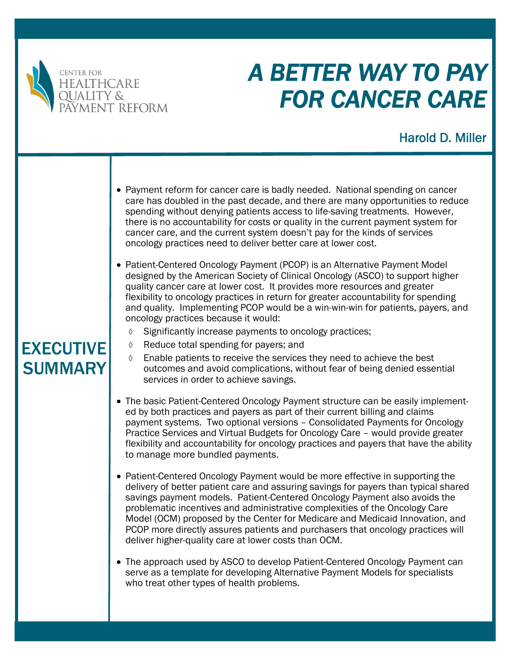

# *A BETTER WAY TO PAY FOR CANCER CARE*

# Harold D. Miller

- Payment reform for cancer care is badly needed. National spending on cancer care has doubled in the past decade, and there are many opportunities to reduce spending without denying patients access to life-saving treatments. However, there is no accountability for costs or quality in the current payment system for cancer care, and the current system doesn't pay for the kinds of services oncology practices need to deliver better care at lower cost.
- Patient-Centered Oncology Payment (PCOP) is an Alternative Payment Model designed by the American Society of Clinical Oncology (ASCO) to support higher quality cancer care at lower cost. It provides more resources and greater flexibility to oncology practices in return for greater accountability for spending and quality. Implementing PCOP would be a win-win-win for patients, payers, and oncology practices because it would:
	- $\Diamond$  Significantly increase payments to oncology practices;
	- $\Diamond$  Reduce total spending for payers; and
	- $\Diamond$  Enable patients to receive the services they need to achieve the best outcomes and avoid complications, without fear of being denied essential services in order to achieve savings.
- The basic Patient-Centered Oncology Payment structure can be easily implemented by both practices and payers as part of their current billing and claims payment systems. Two optional versions – Consolidated Payments for Oncology Practice Services and Virtual Budgets for Oncology Care – would provide greater flexibility and accountability for oncology practices and payers that have the ability to manage more bundled payments.
- Patient-Centered Oncology Payment would be more effective in supporting the delivery of better patient care and assuring savings for payers than typical shared savings payment models. Patient-Centered Oncology Payment also avoids the problematic incentives and administrative complexities of the Oncology Care Model (OCM) proposed by the Center for Medicare and Medicaid Innovation, and PCOP more directly assures patients and purchasers that oncology practices will deliver higher-quality care at lower costs than OCM.
- The approach used by ASCO to develop Patient-Centered Oncology Payment can serve as a template for developing Alternative Payment Models for specialists who treat other types of health problems.

# EXECUTIVE SUMMARY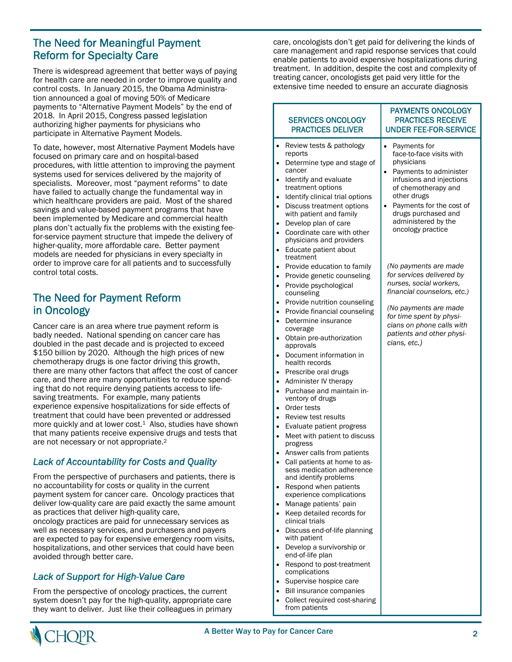# The Need for Meaningful Payment Reform for Specialty Care

There is widespread agreement that better ways of paying for health care are needed in order to improve quality and control costs. In January 2015, the Obama Administration announced a goal of moving 50% of Medicare payments to "Alternative Payment Models" by the end of 2018. In April 2015, Congress passed legislation authorizing higher payments for physicians who participate in Alternative Payment Models.

To date, however, most Alternative Payment Models have focused on primary care and on hospital-based procedures, with little attention to improving the payment systems used for services delivered by the majority of specialists. Moreover, most "payment reforms" to date have failed to actually change the fundamental way in which healthcare providers are paid. Most of the shared savings and value-based payment programs that have been implemented by Medicare and commercial health plans don't actually fix the problems with the existing feefor-service payment structure that impede the delivery of higher-quality, more affordable care. Better payment models are needed for physicians in every specialty in order to improve care for all patients and to successfully control total costs.

# The Need for Payment Reform in Oncology

Cancer care is an area where true payment reform is badly needed. National spending on cancer care has doubled in the past decade and is projected to exceed \$150 billion by 2020. Although the high prices of new chemotherapy drugs is one factor driving this growth, there are many other factors that affect the cost of cancer care, and there are many opportunities to reduce spending that do not require denying patients access to lifesaving treatments. For example, many patients experience expensive hospitalizations for side effects of treatment that could have been prevented or addressed more quickly and at lower cost.<sup>1</sup> Also, studies have shown that many patients receive expensive drugs and tests that are not necessary or not appropriate.2

#### *Lack of Accountability for Costs and Quality*

From the perspective of purchasers and patients, there is no accountability for costs or quality in the current payment system for cancer care. Oncology practices that deliver low-quality care are paid exactly the same amount as practices that deliver high-quality care, oncology practices are paid for unnecessary services as

well as necessary services, and purchasers and payers are expected to pay for expensive emergency room visits, hospitalizations, and other services that could have been avoided through better care.

### *Lack of Support for High-Value Care*

From the perspective of oncology practices, the current system doesn't pay for the high-quality, appropriate care they want to deliver. Just like their colleagues in primary care, oncologists don't get paid for delivering the kinds of care management and rapid response services that could enable patients to avoid expensive hospitalizations during treatment. In addition, despite the cost and complexity of treating cancer, oncologists get paid very little for the extensive time needed to ensure an accurate diagnosis

|                                                                                                                                              | <b>SERVICES ONCOLOGY</b><br><b>PRACTICES DELIVER</b>                                                                                                                                                                                                                                                                                                                                                                                                                                                                                                                                                                                                                                                                                                                                                                                                                                                                                  | <b>PAYMENTS ONCOLOGY</b><br><b>PRACTICES RECEIVE</b><br><b>UNDER FEE-FOR-SERVICE</b>                                                                                                                                                                                |
|----------------------------------------------------------------------------------------------------------------------------------------------|---------------------------------------------------------------------------------------------------------------------------------------------------------------------------------------------------------------------------------------------------------------------------------------------------------------------------------------------------------------------------------------------------------------------------------------------------------------------------------------------------------------------------------------------------------------------------------------------------------------------------------------------------------------------------------------------------------------------------------------------------------------------------------------------------------------------------------------------------------------------------------------------------------------------------------------|---------------------------------------------------------------------------------------------------------------------------------------------------------------------------------------------------------------------------------------------------------------------|
| ٠<br>$\bullet$<br>$\bullet$<br>٠<br>$\bullet$                                                                                                | Review tests & pathology<br>reports<br>Determine type and stage of<br>cancer<br>Identify and evaluate<br>treatment options<br>Identify clinical trial options<br>Discuss treatment options<br>with patient and family<br>Develop plan of care<br>Coordinate care with other<br>physicians and providers<br>Educate patient about<br>treatment                                                                                                                                                                                                                                                                                                                                                                                                                                                                                                                                                                                         | Payments for<br>$\bullet$<br>face-to-face visits with<br>physicians<br>Payments to administer<br>infusions and injections<br>of chemotherapy and<br>other drugs<br>Payments for the cost of<br>٠<br>drugs purchased and<br>administered by the<br>oncology practice |
| ٠<br>٠<br>$\bullet$<br>٠<br>$\bullet$<br>$\bullet$<br>٠<br>$\bullet$<br>٠<br>٠<br>$\bullet$<br>٠<br>$\bullet$<br>٠<br>$\bullet$<br>$\bullet$ | Provide education to family<br>Provide genetic counseling<br>Provide psychological<br>counseling<br>Provide nutrition counseling<br>Provide financial counseling<br>Determine insurance<br>coverage<br>Obtain pre-authorization<br>approvals<br>Document information in<br>health records<br>Prescribe oral drugs<br>Administer IV therapy<br>Purchase and maintain in-<br>ventory of drugs<br>Order tests<br>Review test results<br>Evaluate patient progress<br>Meet with patient to discuss<br>progress<br>Answer calls from patients<br>Call patients at home to as-<br>sess medication adherence<br>and identify problems<br>Respond when patients<br>experience complications<br>Manage patients' pain<br>Keep detailed records for<br>clinical trials<br>Discuss end-of-life planning<br>with patient<br>Develop a survivorship or<br>end-of-life plan<br>Respond to post-treatment<br>complications<br>Supervise hospice care | (No payments are made<br>for services delivered by<br>nurses, social workers,<br>financial counselors, etc.)<br>(No payments are made<br>for time spent by physi-<br>cians on phone calls with<br>patients and other physi-<br>cians, etc.)                         |
|                                                                                                                                              | Bill insurance companies<br>Collect required cost-sharing                                                                                                                                                                                                                                                                                                                                                                                                                                                                                                                                                                                                                                                                                                                                                                                                                                                                             |                                                                                                                                                                                                                                                                     |

from patients

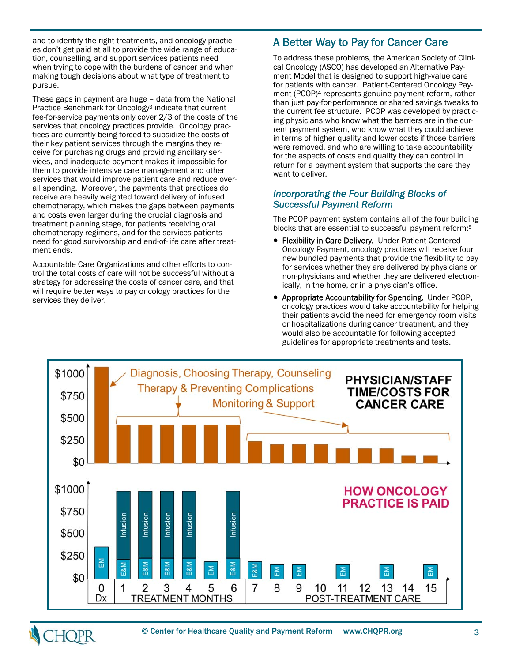and to identify the right treatments, and oncology practices don't get paid at all to provide the wide range of education, counselling, and support services patients need when trying to cope with the burdens of cancer and when making tough decisions about what type of treatment to pursue.

These gaps in payment are huge – data from the National Practice Benchmark for Oncology<sup>3</sup> indicate that current fee-for-service payments only cover 2/3 of the costs of the services that oncology practices provide. Oncology practices are currently being forced to subsidize the costs of their key patient services through the margins they receive for purchasing drugs and providing ancillary services, and inadequate payment makes it impossible for them to provide intensive care management and other services that would improve patient care and reduce overall spending. Moreover, the payments that practices do receive are heavily weighted toward delivery of infused chemotherapy, which makes the gaps between payments and costs even larger during the crucial diagnosis and treatment planning stage, for patients receiving oral chemotherapy regimens, and for the services patients need for good survivorship and end-of-life care after treatment ends.

Accountable Care Organizations and other efforts to control the total costs of care will not be successful without a strategy for addressing the costs of cancer care, and that will require better ways to pay oncology practices for the services they deliver.

# A Better Way to Pay for Cancer Care

To address these problems, the American Society of Clinical Oncology (ASCO) has developed an Alternative Payment Model that is designed to support high-value care for patients with cancer. Patient-Centered Oncology Payment (PCOP)<sup>4</sup> represents genuine payment reform, rather than just pay-for-performance or shared savings tweaks to the current fee structure. PCOP was developed by practicing physicians who know what the barriers are in the current payment system, who know what they could achieve in terms of higher quality and lower costs if those barriers were removed, and who are willing to take accountability for the aspects of costs and quality they can control in return for a payment system that supports the care they want to deliver.

#### *Incorporating the Four Building Blocks of Successful Payment Reform*

The PCOP payment system contains all of the four building blocks that are essential to successful payment reform:5

- **Flexibility in Care Delivery.** Under Patient-Centered Oncology Payment, oncology practices will receive four new bundled payments that provide the flexibility to pay for services whether they are delivered by physicians or non-physicians and whether they are delivered electronically, in the home, or in a physician's office.
- Appropriate Accountability for Spending. Under PCOP, oncology practices would take accountability for helping their patients avoid the need for emergency room visits or hospitalizations during cancer treatment, and they would also be accountable for following accepted guidelines for appropriate treatments and tests.



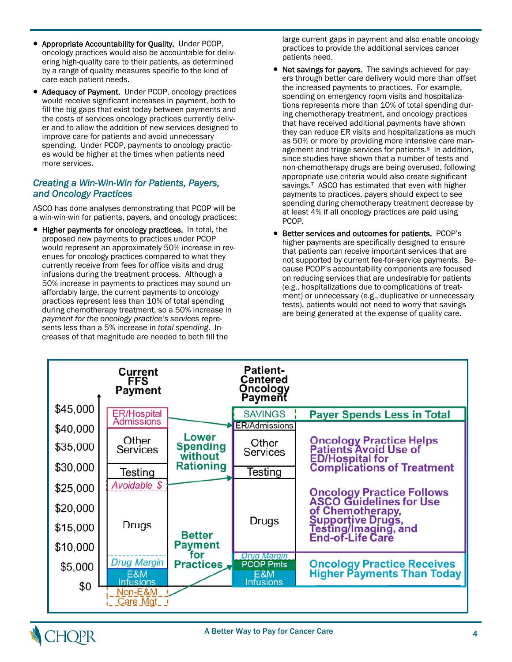- Appropriate Accountability for Quality. Under PCOP, oncology practices would also be accountable for delivering high-quality care to their patients, as determined by a range of quality measures specific to the kind of care each patient needs.
- Adequacy of Payment. Under PCOP, oncology practices would receive significant increases in payment, both to fill the big gaps that exist today between payments and the costs of services oncology practices currently deliver and to allow the addition of new services designed to improve care for patients and avoid unnecessary spending. Under PCOP, payments to oncology practices would be higher at the times when patients need more services.

#### *Creating a Win-Win-Win for Patients, Payers, and Oncology Practices*

ASCO has done analyses demonstrating that PCOP will be a win-win-win for patients, payers, and oncology practices:

• Higher payments for oncology practices. In total, the proposed new payments to practices under PCOP would represent an approximately 50% increase in revenues for oncology practices compared to what they currently receive from fees for office visits and drug infusions during the treatment process. Although a 50% increase in payments to practices may sound unaffordably large, the current payments to oncology practices represent less than 10% of total spending during chemotherapy treatment, so a 50% increase in *payment for the oncology practice's services* represents less than a 5% increase in *total spending*. Increases of that magnitude are needed to both fill the

large current gaps in payment and also enable oncology practices to provide the additional services cancer patients need.

- Net savings for payers. The savings achieved for payers through better care delivery would more than offset the increased payments to practices. For example, spending on emergency room visits and hospitalizations represents more than 10% of total spending during chemotherapy treatment, and oncology practices that have received additional payments have shown they can reduce ER visits and hospitalizations as much as 50% or more by providing more intensive care management and triage services for patients.<sup>6</sup> In addition, since studies have shown that a number of tests and non-chemotherapy drugs are being overused, following appropriate use criteria would also create significant savings.<sup>7</sup> ASCO has estimated that even with higher payments to practices, payers should expect to see spending during chemotherapy treatment decrease by at least 4% if all oncology practices are paid using PCOP.
- Better services and outcomes for patients. PCOP's higher payments are specifically designed to ensure that patients can receive important services that are not supported by current fee-for-service payments. Because PCOP's accountability components are focused on reducing services that are undesirable for patients (e.g., hospitalizations due to complications of treatment) or unnecessary (e.g., duplicative or unnecessary tests), patients would not need to worry that savings are being generated at the expense of quality care.



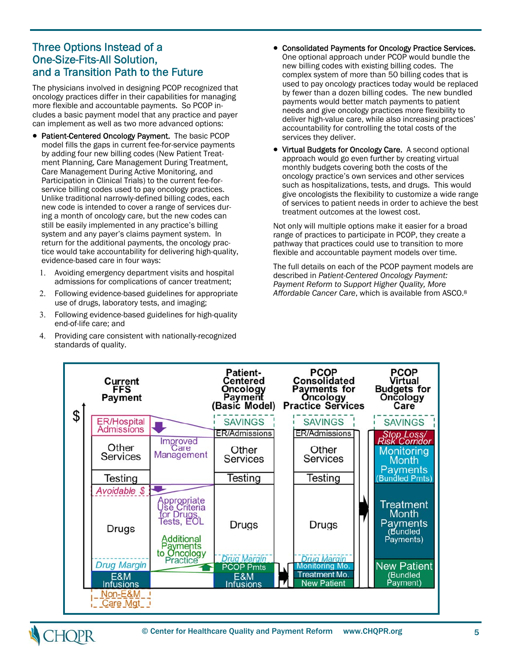# Three Options Instead of a One-Size-Fits-All Solution, and a Transition Path to the Future

The physicians involved in designing PCOP recognized that oncology practices differ in their capabilities for managing more flexible and accountable payments. So PCOP includes a basic payment model that any practice and payer can implement as well as two more advanced options:

- Patient-Centered Oncology Payment. The basic PCOP model fills the gaps in current fee-for-service payments by adding four new billing codes (New Patient Treatment Planning, Care Management During Treatment, Care Management During Active Monitoring, and Participation in Clinical Trials) to the current fee-forservice billing codes used to pay oncology practices. Unlike traditional narrowly-defined billing codes, each new code is intended to cover a range of services during a month of oncology care, but the new codes can still be easily implemented in any practice's billing system and any payer's claims payment system. In return for the additional payments, the oncology practice would take accountability for delivering high-quality, evidence-based care in four ways:
	- Avoiding emergency department visits and hospital admissions for complications of cancer treatment;
	- Following evidence-based guidelines for appropriate use of drugs, laboratory tests, and imaging;
	- Following evidence-based guidelines for high-quality end-of-life care; and
	- 4. Providing care consistent with nationally-recognized standards of quality.
- Consolidated Payments for Oncology Practice Services. One optional approach under PCOP would bundle the new billing codes with existing billing codes. The complex system of more than 50 billing codes that is used to pay oncology practices today would be replaced by fewer than a dozen billing codes. The new bundled payments would better match payments to patient needs and give oncology practices more flexibility to deliver high-value care, while also increasing practices' accountability for controlling the total costs of the services they deliver.
- Virtual Budgets for Oncology Care. A second optional approach would go even further by creating virtual monthly budgets covering both the costs of the oncology practice's own services and other services such as hospitalizations, tests, and drugs. This would give oncologists the flexibility to customize a wide range of services to patient needs in order to achieve the best treatment outcomes at the lowest cost.

Not only will multiple options make it easier for a broad range of practices to participate in PCOP, they create a pathway that practices could use to transition to more flexible and accountable payment models over time.

The full details on each of the PCOP payment models are described in *Patient-Centered Oncology Payment: Payment Reform to Support Higher Quality, More Affordable Cancer Care*, which is available from ASCO.8



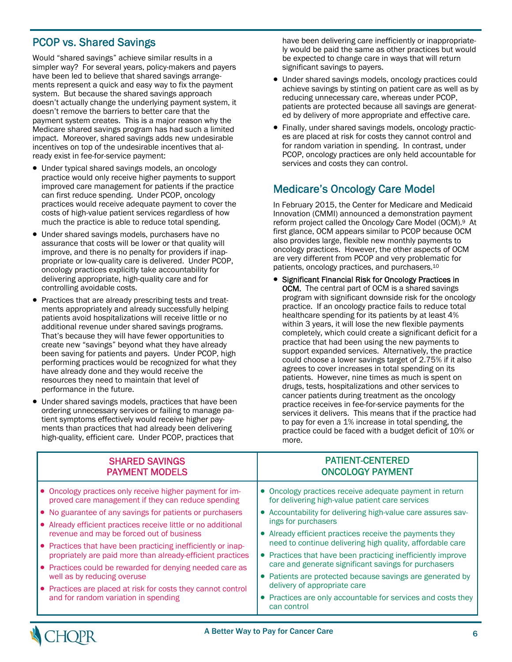# PCOP vs. Shared Savings

Would "shared savings" achieve similar results in a simpler way? For several years, policy-makers and payers have been led to believe that shared savings arrangements represent a quick and easy way to fix the payment system. But because the shared savings approach doesn't actually change the underlying payment system, it doesn't remove the barriers to better care that the payment system creates. This is a major reason why the Medicare shared savings program has had such a limited impact. Moreover, shared savings adds new undesirable incentives on top of the undesirable incentives that already exist in fee-for-service payment:

- Under typical shared savings models, an oncology practice would only receive higher payments to support improved care management for patients if the practice can first reduce spending. Under PCOP, oncology practices would receive adequate payment to cover the costs of high-value patient services regardless of how much the practice is able to reduce total spending.
- Under shared savings models, purchasers have no assurance that costs will be lower or that quality will improve, and there is no penalty for providers if inappropriate or low-quality care is delivered. Under PCOP, oncology practices explicitly take accountability for delivering appropriate, high-quality care and for controlling avoidable costs.
- Practices that are already prescribing tests and treatments appropriately and already successfully helping patients avoid hospitalizations will receive little or no additional revenue under shared savings programs. That's because they will have fewer opportunities to create new "savings" beyond what they have already been saving for patients and payers. Under PCOP, high performing practices would be recognized for what they have already done and they would receive the resources they need to maintain that level of performance in the future.
- Under shared savings models, practices that have been ordering unnecessary services or failing to manage patient symptoms effectively would receive higher payments than practices that had already been delivering high-quality, efficient care. Under PCOP, practices that

have been delivering care inefficiently or inappropriately would be paid the same as other practices but would be expected to change care in ways that will return significant savings to payers.

- Under shared savings models, oncology practices could achieve savings by stinting on patient care as well as by reducing unnecessary care, whereas under PCOP, patients are protected because all savings are generated by delivery of more appropriate and effective care.
- Finally, under shared savings models, oncology practices are placed at risk for costs they cannot control and for random variation in spending. In contrast, under PCOP, oncology practices are only held accountable for services and costs they can control.

# Medicare's Oncology Care Model

In February 2015, the Center for Medicare and Medicaid Innovation (CMMI) announced a demonstration payment reform project called the Oncology Care Model (OCM).9 At first glance, OCM appears similar to PCOP because OCM also provides large, flexible new monthly payments to oncology practices. However, the other aspects of OCM are very different from PCOP and very problematic for patients, oncology practices, and purchasers.10

• Significant Financial Risk for Oncology Practices in **OCM.** The central part of OCM is a shared savings program with significant downside risk for the oncology practice. If an oncology practice fails to reduce total healthcare spending for its patients by at least 4% within 3 years, it will lose the new flexible payments completely, which could create a significant deficit for a practice that had been using the new payments to support expanded services. Alternatively, the practice could choose a lower savings target of 2.75% if it also agrees to cover increases in total spending on its patients. However, nine times as much is spent on drugs, tests, hospitalizations and other services to cancer patients during treatment as the oncology practice receives in fee-for-service payments for the services it delivers. This means that if the practice had to pay for even a 1% increase in total spending, the practice could be faced with a budget deficit of 10% or more.

| <b>SHARED SAVINGS</b><br><b>PAYMENT MODELS</b>                                                                 | <b>PATIENT-CENTERED</b><br><b>ONCOLOGY PAYMENT</b>                                                                  |
|----------------------------------------------------------------------------------------------------------------|---------------------------------------------------------------------------------------------------------------------|
| • Oncology practices only receive higher payment for im-<br>proved care management if they can reduce spending | • Oncology practices receive adequate payment in return<br>for delivering high-value patient care services          |
| • No guarantee of any savings for patients or purchasers                                                       | • Accountability for delivering high-value care assures sav-                                                        |
| • Already efficient practices receive little or no additional                                                  | ings for purchasers                                                                                                 |
| revenue and may be forced out of business                                                                      | • Already efficient practices receive the payments they                                                             |
| • Practices that have been practicing inefficiently or inap-                                                   | need to continue delivering high quality, affordable care                                                           |
| propriately are paid more than already-efficient practices                                                     | • Practices that have been practicing inefficiently improve<br>care and generate significant savings for purchasers |
| • Practices could be rewarded for denying needed care as                                                       |                                                                                                                     |
| well as by reducing overuse                                                                                    | • Patients are protected because savings are generated by<br>delivery of appropriate care                           |
| • Practices are placed at risk for costs they cannot control                                                   |                                                                                                                     |
| and for random variation in spending                                                                           | • Practices are only accountable for services and costs they<br>can control                                         |

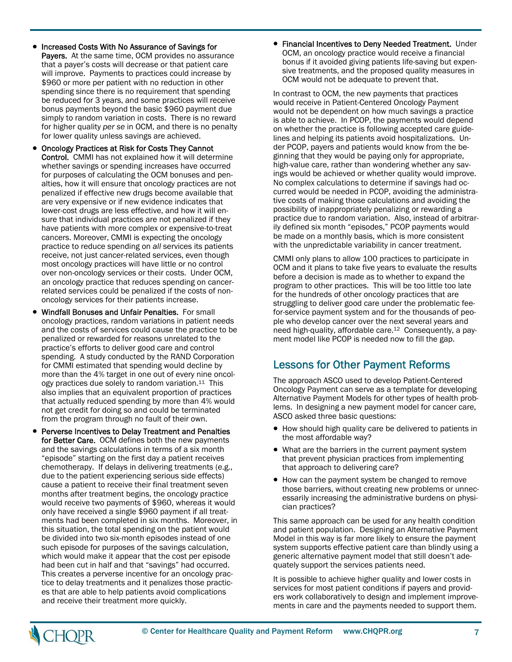- Increased Costs With No Assurance of Savings for Payers. At the same time, OCM provides no assurance that a payer's costs will decrease or that patient care will improve. Payments to practices could increase by \$960 or more per patient with no reduction in other spending since there is no requirement that spending be reduced for 3 years, and some practices will receive bonus payments beyond the basic \$960 payment due simply to random variation in costs. There is no reward for higher quality *per se* in OCM, and there is no penalty for lower quality unless savings are achieved.
- Oncology Practices at Risk for Costs They Cannot Control. CMMI has not explained how it will determine whether savings or spending increases have occurred for purposes of calculating the OCM bonuses and penalties, how it will ensure that oncology practices are not penalized if effective new drugs become available that are very expensive or if new evidence indicates that lower-cost drugs are less effective, and how it will ensure that individual practices are not penalized if they have patients with more complex or expensive-to-treat cancers. Moreover, CMMI is expecting the oncology practice to reduce spending on *all* services its patients receive, not just cancer-related services, even though most oncology practices will have little or no control over non-oncology services or their costs. Under OCM, an oncology practice that reduces spending on cancerrelated services could be penalized if the costs of nononcology services for their patients increase.
- Windfall Bonuses and Unfair Penalties. For small oncology practices, random variations in patient needs and the costs of services could cause the practice to be penalized or rewarded for reasons unrelated to the practice's efforts to deliver good care and control spending. A study conducted by the RAND Corporation for CMMI estimated that spending would decline by more than the 4% target in one out of every nine oncology practices due solely to random variation. $11$  This also implies that an equivalent proportion of practices that actually reduced spending by more than 4% would not get credit for doing so and could be terminated from the program through no fault of their own.
- Perverse Incentives to Delay Treatment and Penalties for Better Care. OCM defines both the new payments and the savings calculations in terms of a six month "episode" starting on the first day a patient receives chemotherapy. If delays in delivering treatments (e.g., due to the patient experiencing serious side effects) cause a patient to receive their final treatment seven months after treatment begins, the oncology practice would receive two payments of \$960, whereas it would only have received a single \$960 payment if all treatments had been completed in six months. Moreover, in this situation, the total spending on the patient would be divided into two six-month episodes instead of one such episode for purposes of the savings calculation, which would make it appear that the cost per episode had been cut in half and that "savings" had occurred. This creates a perverse incentive for an oncology practice to delay treatments and it penalizes those practices that are able to help patients avoid complications and receive their treatment more quickly.

 Financial Incentives to Deny Needed Treatment. Under OCM, an oncology practice would receive a financial bonus if it avoided giving patients life-saving but expensive treatments, and the proposed quality measures in OCM would not be adequate to prevent that.

In contrast to OCM, the new payments that practices would receive in Patient-Centered Oncology Payment would not be dependent on how much savings a practice is able to achieve. In PCOP, the payments would depend on whether the practice is following accepted care guidelines and helping its patients avoid hospitalizations. Under PCOP, payers and patients would know from the beginning that they would be paying only for appropriate, high-value care, rather than wondering whether any savings would be achieved or whether quality would improve. No complex calculations to determine if savings had occurred would be needed in PCOP, avoiding the administrative costs of making those calculations and avoiding the possibility of inappropriately penalizing or rewarding a practice due to random variation. Also, instead of arbitrarily defined six month "episodes," PCOP payments would be made on a monthly basis, which is more consistent with the unpredictable variability in cancer treatment.

CMMI only plans to allow 100 practices to participate in OCM and it plans to take five years to evaluate the results before a decision is made as to whether to expand the program to other practices. This will be too little too late for the hundreds of other oncology practices that are struggling to deliver good care under the problematic feefor-service payment system and for the thousands of people who develop cancer over the next several years and need high-quality, affordable care.12 Consequently, a payment model like PCOP is needed now to fill the gap.

# Lessons for Other Payment Reforms

The approach ASCO used to develop Patient-Centered Oncology Payment can serve as a template for developing Alternative Payment Models for other types of health problems. In designing a new payment model for cancer care, ASCO asked three basic questions:

- How should high quality care be delivered to patients in the most affordable way?
- What are the barriers in the current payment system that prevent physician practices from implementing that approach to delivering care?
- How can the payment system be changed to remove those barriers, without creating new problems or unnecessarily increasing the administrative burdens on physician practices?

This same approach can be used for any health condition and patient population. Designing an Alternative Payment Model in this way is far more likely to ensure the payment system supports effective patient care than blindly using a generic alternative payment model that still doesn't adequately support the services patients need.

It is possible to achieve higher quality and lower costs in services for most patient conditions if payers and providers work collaboratively to design and implement improvements in care and the payments needed to support them.